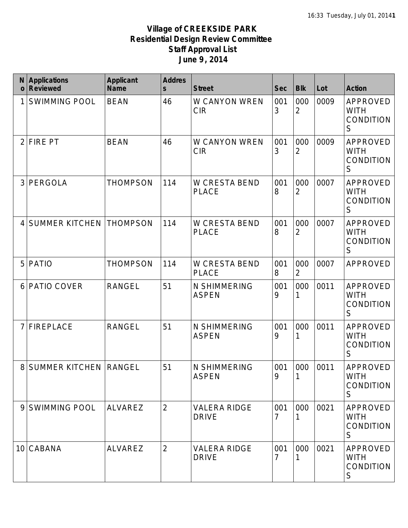| N<br>$\mathbf{o}$ | <b>Applications</b><br><b>Reviewed</b> | <b>Applicant</b><br><b>Name</b> | <b>Addres</b><br>$\mathsf{s}$ | <b>Street</b>                       | <b>Sec</b>            | <b>Blk</b>            | Lot  | <b>Action</b>                                              |
|-------------------|----------------------------------------|---------------------------------|-------------------------------|-------------------------------------|-----------------------|-----------------------|------|------------------------------------------------------------|
|                   | <b>SWIMMING POOL</b>                   | <b>BEAN</b>                     | 46                            | W CANYON WREN<br><b>CIR</b>         | 001<br>3              | 000<br>$\overline{2}$ | 0009 | APPROVED<br><b>WITH</b><br><b>CONDITION</b><br>$\mathsf S$ |
| 2                 | <b>FIRE PT</b>                         | <b>BEAN</b>                     | 46                            | W CANYON WREN<br><b>CIR</b>         | 001<br>3              | 000<br>$\overline{2}$ | 0009 | APPROVED<br><b>WITH</b><br>CONDITION<br>S                  |
| 3                 | PERGOLA                                | <b>THOMPSON</b>                 | 114                           | W CRESTA BEND<br><b>PLACE</b>       | 001<br>8              | 000<br>$\overline{2}$ | 0007 | APPROVED<br><b>WITH</b><br>CONDITION<br>S                  |
| 4                 | <b>SUMMER KITCHEN</b>                  | <b>THOMPSON</b>                 | 114                           | W CRESTA BEND<br><b>PLACE</b>       | 001<br>8              | 000<br>$\overline{2}$ | 0007 | <b>APPROVED</b><br><b>WITH</b><br><b>CONDITION</b><br>S    |
| 5                 | <b>PATIO</b>                           | <b>THOMPSON</b>                 | 114                           | W CRESTA BEND<br><b>PLACE</b>       | 001<br>8              | 000<br>$\overline{2}$ | 0007 | APPROVED                                                   |
| 6                 | PATIO COVER                            | <b>RANGEL</b>                   | 51                            | N SHIMMERING<br><b>ASPEN</b>        | 001<br>9              | 000                   | 0011 | <b>APPROVED</b><br><b>WITH</b><br><b>CONDITION</b><br>S    |
|                   | <b>FIREPLACE</b>                       | <b>RANGEL</b>                   | 51                            | N SHIMMERING<br><b>ASPEN</b>        | 001<br>9              | 000<br>1              | 0011 | APPROVED<br><b>WITH</b><br><b>CONDITION</b><br>S           |
| 8                 | <b>SUMMER KITCHEN</b>                  | <b>RANGEL</b>                   | 51                            | N SHIMMERING<br><b>ASPEN</b>        | 001<br>9              | 000<br>1              | 0011 | APPROVED<br><b>WITH</b><br><b>CONDITION</b><br>S           |
| 9                 | <b>SWIMMING POOL</b>                   | ALVAREZ                         | 2                             | <b>VALERA RIDGE</b><br><b>DRIVE</b> | 001<br>7              | 000                   | 0021 | APPROVED<br><b>WITH</b><br><b>CONDITION</b><br>S           |
| 10                | CABANA                                 | <b>ALVAREZ</b>                  | $\overline{2}$                | <b>VALERA RIDGE</b><br><b>DRIVE</b> | 001<br>$\overline{7}$ | 000                   | 0021 | <b>APPROVED</b><br><b>WITH</b><br><b>CONDITION</b><br>S    |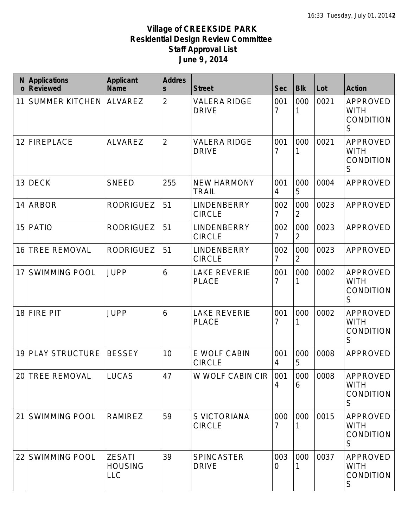| N<br>$\mathbf 0$ | <b>Applications</b><br><b>Reviewed</b> | <b>Applicant</b><br><b>Name</b>               | <b>Addres</b><br>$\mathsf{s}$ | <b>Street</b>                       | <b>Sec</b>            | <b>Blk</b>            | Lot  | <b>Action</b>                                           |
|------------------|----------------------------------------|-----------------------------------------------|-------------------------------|-------------------------------------|-----------------------|-----------------------|------|---------------------------------------------------------|
| 11               | <b>SUMMER KITCHEN</b>                  | ALVAREZ                                       | $\overline{2}$                | <b>VALERA RIDGE</b><br><b>DRIVE</b> | 001<br>7              | 000                   | 0021 | APPROVED<br><b>WITH</b><br><b>CONDITION</b><br>S        |
| 12               | <b>FIREPLACE</b>                       | <b>ALVAREZ</b>                                | $\overline{2}$                | <b>VALERA RIDGE</b><br><b>DRIVE</b> | 001<br>7              | 000                   | 0021 | <b>APPROVED</b><br><b>WITH</b><br><b>CONDITION</b><br>S |
| 13               | <b>DECK</b>                            | <b>SNEED</b>                                  | 255                           | <b>NEW HARMONY</b><br><b>TRAIL</b>  | 001<br>4              | 000<br>5              | 0004 | <b>APPROVED</b>                                         |
| 14               | <b>ARBOR</b>                           | <b>RODRIGUEZ</b>                              | 51                            | LINDENBERRY<br><b>CIRCLE</b>        | 002<br>$\overline{7}$ | 000<br>2              | 0023 | APPROVED                                                |
| 15               | <b>PATIO</b>                           | <b>RODRIGUEZ</b>                              | 51                            | LINDENBERRY<br><b>CIRCLE</b>        | 002<br>$\overline{7}$ | 000<br>$\overline{2}$ | 0023 | APPROVED                                                |
| 16               | <b>TREE REMOVAL</b>                    | <b>RODRIGUEZ</b>                              | 51                            | LINDENBERRY<br><b>CIRCLE</b>        | 002<br>$\overline{7}$ | 000<br>$\overline{2}$ | 0023 | <b>APPROVED</b>                                         |
| 17               | <b>SWIMMING POOL</b>                   | <b>JUPP</b>                                   | 6                             | <b>LAKE REVERIE</b><br><b>PLACE</b> | 001<br>7              | 000                   | 0002 | <b>APPROVED</b><br><b>WITH</b><br><b>CONDITION</b><br>S |
| 18               | <b>FIRE PIT</b>                        | <b>JUPP</b>                                   | 6                             | <b>LAKE REVERIE</b><br><b>PLACE</b> | 001<br>7              | 000                   | 0002 | <b>APPROVED</b><br><b>WITH</b><br><b>CONDITION</b><br>S |
| 19               | <b>PLAY STRUCTURE</b>                  | <b>BESSEY</b>                                 | 10                            | E WOLF CABIN<br><b>CIRCLE</b>       | 001<br>4              | 000<br>5              | 0008 | <b>APPROVED</b>                                         |
|                  | 20 TREE REMOVAL                        | <b>LUCAS</b>                                  | 47                            | W WOLF CABIN CIR   001              | 4                     | 000<br>6              | 0008 | APPROVED<br><b>WITH</b><br><b>CONDITION</b><br>S        |
| 21               | <b>SWIMMING POOL</b>                   | <b>RAMIREZ</b>                                | 59                            | S VICTORIANA<br><b>CIRCLE</b>       | 000<br>7              | 000                   | 0015 | <b>APPROVED</b><br><b>WITH</b><br><b>CONDITION</b><br>S |
| 22               | <b>SWIMMING POOL</b>                   | <b>ZESATI</b><br><b>HOUSING</b><br><b>LLC</b> | 39                            | <b>SPINCASTER</b><br><b>DRIVE</b>   | 003<br>0              | 000                   | 0037 | APPROVED<br><b>WITH</b><br>CONDITION<br>S               |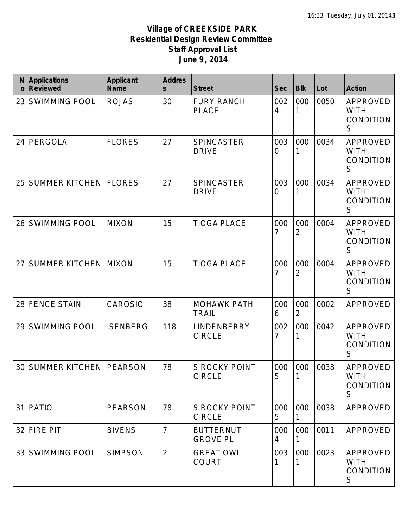| N<br>$\mathbf 0$ | <b>Applications</b><br><b>Reviewed</b> | <b>Applicant</b><br><b>Name</b> | <b>Addres</b><br>$\overline{\mathsf{s}}$ | <b>Street</b>                         | <b>Sec</b> | <b>Blk</b>            | Lot  | <b>Action</b>                                           |
|------------------|----------------------------------------|---------------------------------|------------------------------------------|---------------------------------------|------------|-----------------------|------|---------------------------------------------------------|
| 23               | <b>SWIMMING POOL</b>                   | <b>ROJAS</b>                    | 30                                       | <b>FURY RANCH</b><br><b>PLACE</b>     | 002<br>4   | 000<br>1              | 0050 | APPROVED<br><b>WITH</b><br><b>CONDITION</b><br>S        |
| 24               | PERGOLA                                | <b>FLORES</b>                   | 27                                       | <b>SPINCASTER</b><br><b>DRIVE</b>     | 003<br>0   | 000<br>1              | 0034 | APPROVED<br><b>WITH</b><br><b>CONDITION</b><br>S        |
| 25               | <b>SUMMER KITCHEN</b>                  | <b>FLORES</b>                   | 27                                       | <b>SPINCASTER</b><br><b>DRIVE</b>     | 003<br>0   | 000<br>1              | 0034 | APPROVED<br><b>WITH</b><br><b>CONDITION</b><br>S        |
| 26               | <b>SWIMMING POOL</b>                   | <b>MIXON</b>                    | 15                                       | <b>TIOGA PLACE</b>                    | 000<br>7   | 000<br>2              | 0004 | <b>APPROVED</b><br><b>WITH</b><br><b>CONDITION</b><br>S |
| 27               | <b>SUMMER KITCHEN MIXON</b>            |                                 | 15                                       | <b>TIOGA PLACE</b>                    | 000<br>7   | 000<br>$\overline{2}$ | 0004 | <b>APPROVED</b><br><b>WITH</b><br>CONDITION<br>S        |
| 28               | <b>FENCE STAIN</b>                     | CAROSIO                         | 38                                       | <b>MOHAWK PATH</b><br><b>TRAIL</b>    | 000<br>6   | 000<br>$\overline{2}$ | 0002 | APPROVED                                                |
| 29               | <b>SWIMMING POOL</b>                   | <b>ISENBERG</b>                 | 118                                      | LINDENBERRY<br><b>CIRCLE</b>          | 002<br>7   | 000<br>1              | 0042 | APPROVED<br><b>WITH</b><br>CONDITION<br>S               |
| 30               | <b>SUMMER KITCHEN   PEARSON</b>        |                                 | 78                                       | <b>S ROCKY POINT</b><br><b>CIRCLE</b> | 000<br>5   | 000                   | 0038 | APPROVED<br><b>WITH</b><br><b>CONDITION</b><br>S        |
| 31               | <b>PATIO</b>                           | <b>PEARSON</b>                  | 78                                       | <b>S ROCKY POINT</b><br><b>CIRCLE</b> | 000<br>5   | 000                   | 0038 | APPROVED                                                |
| 32               | <b>FIRE PIT</b>                        | <b>BIVENS</b>                   | $\overline{7}$                           | <b>BUTTERNUT</b><br><b>GROVE PL</b>   | 000<br>4   | 000<br>1              | 0011 | APPROVED                                                |
| 33               | <b>SWIMMING POOL</b>                   | <b>SIMPSON</b>                  | $\overline{2}$                           | <b>GREAT OWL</b><br><b>COURT</b>      | 003        | 000                   | 0023 | APPROVED<br><b>WITH</b><br><b>CONDITION</b><br>S        |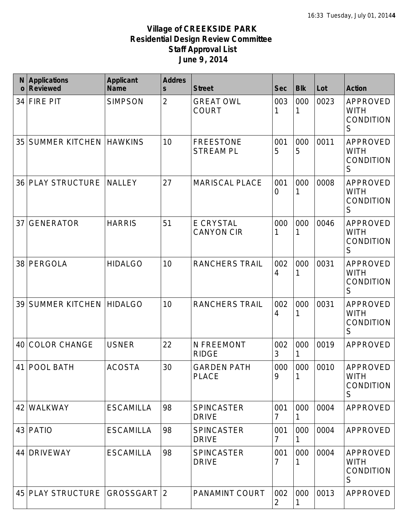| N<br>$\mathbf 0$ | <b>Applications</b><br><b>Reviewed</b> | <b>Applicant</b><br><b>Name</b> | <b>Addres</b><br>$\mathsf{s}$ | <b>Street</b>                         | <b>Sec</b>            | <b>Blk</b> | Lot  | <b>Action</b>                                              |
|------------------|----------------------------------------|---------------------------------|-------------------------------|---------------------------------------|-----------------------|------------|------|------------------------------------------------------------|
| 34               | <b>FIRE PIT</b>                        | <b>SIMPSON</b>                  | $\overline{2}$                | <b>GREAT OWL</b><br><b>COURT</b>      | 003<br>1              | 000        | 0023 | APPROVED<br><b>WITH</b><br><b>CONDITION</b><br>$\mathsf S$ |
| 35               | <b>SUMMER KITCHEN</b>                  | <b>HAWKINS</b>                  | 10                            | <b>FREESTONE</b><br><b>STREAM PL</b>  | 001<br>5              | 000<br>5   | 0011 | <b>APPROVED</b><br><b>WITH</b><br><b>CONDITION</b><br>S    |
| 36               | <b>PLAY STRUCTURE</b>                  | <b>NALLEY</b>                   | 27                            | <b>MARISCAL PLACE</b>                 | 001<br>$\overline{0}$ | 000        | 0008 | <b>APPROVED</b><br><b>WITH</b><br><b>CONDITION</b><br>S    |
| 37               | <b>GENERATOR</b>                       | <b>HARRIS</b>                   | 51                            | <b>E CRYSTAL</b><br><b>CANYON CIR</b> | 000<br>1              | 000<br>1   | 0046 | APPROVED<br><b>WITH</b><br><b>CONDITION</b><br>S           |
| 38               | PERGOLA                                | <b>HIDALGO</b>                  | 10                            | <b>RANCHERS TRAIL</b>                 | 002<br>4              | 000        | 0031 | APPROVED<br><b>WITH</b><br><b>CONDITION</b><br>S           |
| 39               | <b>SUMMER KITCHEN</b>                  | <b>HIDALGO</b>                  | 10                            | <b>RANCHERS TRAIL</b>                 | 002<br>4              | 000        | 0031 | <b>APPROVED</b><br><b>WITH</b><br>CONDITION<br>S           |
| 40               | <b>COLOR CHANGE</b>                    | <b>USNER</b>                    | 22                            | N FREEMONT<br><b>RIDGE</b>            | 002<br>3              | 000<br>1   | 0019 | <b>APPROVED</b>                                            |
| 41               | <b>POOL BATH</b>                       | <b>ACOSTA</b>                   | 30                            | <b>GARDEN PATH</b><br><b>PLACE</b>    | 000<br>9              | 000<br>1   | 0010 | APPROVED<br><b>WITH</b><br><b>CONDITION</b><br>S           |
| 42               | <b>WALKWAY</b>                         | <b>ESCAMILLA</b>                | 98                            | <b>SPINCASTER</b><br><b>DRIVE</b>     | 001<br>7              | 000        | 0004 | APPROVED                                                   |
| 43               | <b>PATIO</b>                           | <b>ESCAMILLA</b>                | 98                            | <b>SPINCASTER</b><br><b>DRIVE</b>     | 001<br>7              | 000        | 0004 | APPROVED                                                   |
| 44               | <b>DRIVEWAY</b>                        | <b>ESCAMILLA</b>                | 98                            | <b>SPINCASTER</b><br><b>DRIVE</b>     | 001<br>7              | 000        | 0004 | APPROVED<br><b>WITH</b><br><b>CONDITION</b><br>S           |
| 45               | <b>PLAY STRUCTURE</b>                  | GROSSGART 2                     |                               | <b>PANAMINT COURT</b>                 | 002<br>2              | 000        | 0013 | APPROVED                                                   |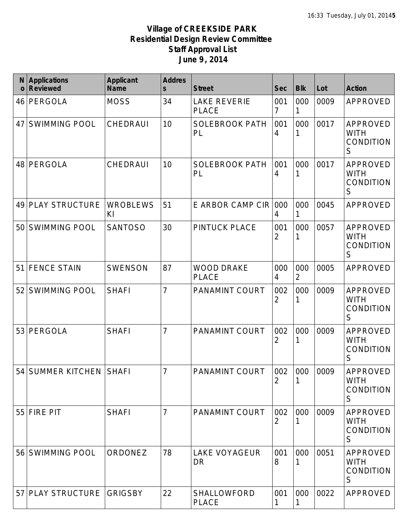| N<br>$\mathbf 0$ | <b>Applications</b><br><b>Reviewed</b> | <b>Applicant</b><br><b>Name</b> | <b>Addres</b><br>$\mathsf{s}$ | <b>Street</b>                       | <b>Sec</b> | <b>Blk</b>            | Lot  | <b>Action</b>                                           |
|------------------|----------------------------------------|---------------------------------|-------------------------------|-------------------------------------|------------|-----------------------|------|---------------------------------------------------------|
| 46               | PERGOLA                                | <b>MOSS</b>                     | 34                            | <b>LAKE REVERIE</b><br><b>PLACE</b> | 001<br>7   | 000<br>1              | 0009 | APPROVED                                                |
| 47               | <b>SWIMMING POOL</b>                   | CHEDRAUI                        | 10                            | <b>SOLEBROOK PATH</b><br>PL         | 001<br>4   | 000                   | 0017 | APPROVED<br><b>WITH</b><br><b>CONDITION</b><br>S        |
| 48               | PERGOLA                                | CHEDRAUI                        | 10                            | <b>SOLEBROOK PATH</b><br>PL         | 001<br>4   | 000                   | 0017 | APPROVED<br><b>WITH</b><br><b>CONDITION</b><br>S        |
| 49               | <b>PLAY STRUCTURE</b>                  | <b>WROBLEWS</b><br>KI           | 51                            | E ARBOR CAMP CIR                    | 000<br>4   | 000                   | 0045 | APPROVED                                                |
| 50               | <b>SWIMMING POOL</b>                   | <b>SANTOSO</b>                  | 30                            | <b>PINTUCK PLACE</b>                | 001<br>2   | 000                   | 0057 | <b>APPROVED</b><br><b>WITH</b><br><b>CONDITION</b><br>S |
| 51               | <b>FENCE STAIN</b>                     | <b>SWENSON</b>                  | 87                            | <b>WOOD DRAKE</b><br><b>PLACE</b>   | 000<br>4   | 000<br>$\overline{2}$ | 0005 | APPROVED                                                |
| 52               | <b>SWIMMING POOL</b>                   | <b>SHAFI</b>                    | $\overline{7}$                | PANAMINT COURT                      | 002<br>2   | 000                   | 0009 | <b>APPROVED</b><br><b>WITH</b><br><b>CONDITION</b><br>S |
| 53               | PERGOLA                                | <b>SHAFI</b>                    | $\overline{7}$                | PANAMINT COURT                      | 002<br>2   | 000                   | 0009 | APPROVED<br><b>WITH</b><br><b>CONDITION</b><br>S        |
| 54               | SUMMER KITCHEN   SHAFI                 |                                 | $\overline{7}$                | PANAMINT COURT                      | 002<br>2   | 000                   | 0009 | APPROVED<br><b>WITH</b><br><b>CONDITION</b><br>S        |
|                  | 55 FIRE PIT                            | <b>SHAFI</b>                    | $\overline{7}$                | <b>PANAMINT COURT</b>               | 002<br>2   | 000                   | 0009 | <b>APPROVED</b><br><b>WITH</b><br><b>CONDITION</b><br>S |
|                  | 56 SWIMMING POOL                       | ORDONEZ                         | 78                            | <b>LAKE VOYAGEUR</b><br><b>DR</b>   | 001<br>8   | 000                   | 0051 | APPROVED<br><b>WITH</b><br><b>CONDITION</b><br>S        |
|                  | 57 PLAY STRUCTURE GRIGSBY              |                                 | 22                            | SHALLOWFORD<br><b>PLACE</b>         | 001        | 000<br>1              | 0022 | APPROVED                                                |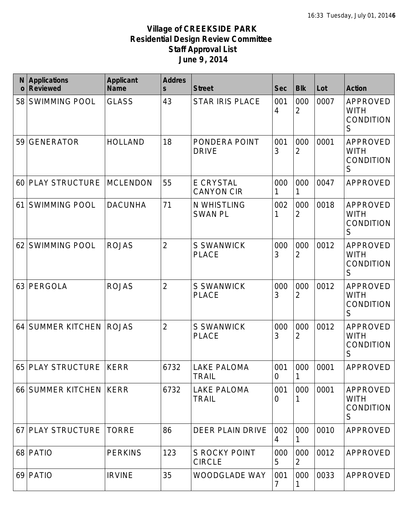| N<br>$\mathbf 0$ | <b>Applications</b><br><b>Reviewed</b> | <b>Applicant</b><br><b>Name</b> | <b>Addres</b><br>$\mathsf{s}$ | <b>Street</b>                         | <b>Sec</b>            | <b>Blk</b>            | Lot  | <b>Action</b>                                           |
|------------------|----------------------------------------|---------------------------------|-------------------------------|---------------------------------------|-----------------------|-----------------------|------|---------------------------------------------------------|
| 58               | <b>SWIMMING POOL</b>                   | <b>GLASS</b>                    | 43                            | <b>STAR IRIS PLACE</b>                | 001<br>4              | 000<br>$\overline{2}$ | 0007 | APPROVED<br><b>WITH</b><br><b>CONDITION</b><br>S        |
| 59               | <b>GENERATOR</b>                       | <b>HOLLAND</b>                  | 18                            | PONDERA POINT<br><b>DRIVE</b>         | 001<br>3              | 000<br>$\overline{2}$ | 0001 | <b>APPROVED</b><br><b>WITH</b><br><b>CONDITION</b><br>S |
| 60               | PLAY STRUCTURE                         | <b>MCLENDON</b>                 | 55                            | <b>E CRYSTAL</b><br><b>CANYON CIR</b> | 000<br>1              | 000<br>1              | 0047 | <b>APPROVED</b>                                         |
| 61               | <b>SWIMMING POOL</b>                   | <b>DACUNHA</b>                  | 71                            | N WHISTLING<br><b>SWAN PL</b>         | 002<br>1              | 000<br>$\overline{2}$ | 0018 | <b>APPROVED</b><br><b>WITH</b><br><b>CONDITION</b><br>S |
| 62               | <b>SWIMMING POOL</b>                   | <b>ROJAS</b>                    | $\overline{2}$                | <b>S SWANWICK</b><br><b>PLACE</b>     | 000<br>3              | 000<br>$\overline{2}$ | 0012 | <b>APPROVED</b><br><b>WITH</b><br><b>CONDITION</b><br>S |
| 63               | PERGOLA                                | <b>ROJAS</b>                    | $\overline{2}$                | <b>S SWANWICK</b><br><b>PLACE</b>     | 000<br>3              | 000<br>$\overline{2}$ | 0012 | APPROVED<br><b>WITH</b><br><b>CONDITION</b><br>S        |
| 64               | <b>SUMMER KITCHEN</b>                  | <b>ROJAS</b>                    | $\overline{2}$                | <b>S SWANWICK</b><br><b>PLACE</b>     | 000<br>3              | 000<br>$\overline{2}$ | 0012 | APPROVED<br><b>WITH</b><br><b>CONDITION</b><br>S        |
| 65               | <b>PLAY STRUCTURE</b>                  | <b>KERR</b>                     | 6732                          | <b>LAKE PALOMA</b><br><b>TRAIL</b>    | 001<br>$\overline{0}$ | 000<br>$\mathbf 1$    | 0001 | APPROVED                                                |
|                  | 66 SUMMER KITCHEN KERR                 |                                 | 6732                          | <b>LAKE PALOMA</b><br><b>TRAIL</b>    | 001<br>O              | 000                   | 0001 | APPROVED<br><b>WITH</b><br><b>CONDITION</b><br>S        |
| 67               | <b>PLAY STRUCTURE</b>                  | <b>TORRE</b>                    | 86                            | DEER PLAIN DRIVE                      | 002<br>4              | 000                   | 0010 | APPROVED                                                |
|                  | 68 PATIO                               | <b>PERKINS</b>                  | 123                           | <b>S ROCKY POINT</b><br><b>CIRCLE</b> | 000<br>5              | 000<br>2              | 0012 | APPROVED                                                |
|                  | 69 PATIO                               | <b>IRVINE</b>                   | 35                            | <b>WOODGLADE WAY</b>                  | 001<br>7              | 000                   | 0033 | APPROVED                                                |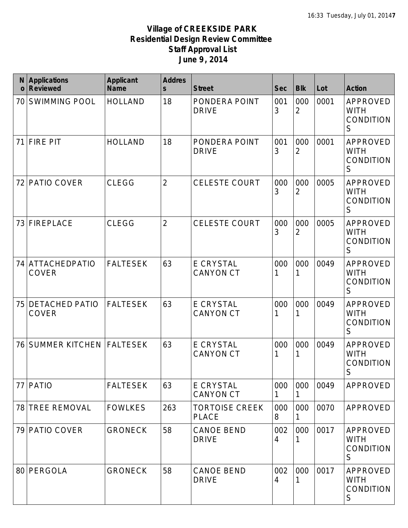| N<br>$\mathbf 0$ | <b>Applications</b><br><b>Reviewed</b> | <b>Applicant</b><br><b>Name</b> | <b>Addres</b><br>$\overline{\mathbf{S}}$ | <b>Street</b>                         | <b>Sec</b> | <b>Blk</b>            | Lot  | <b>Action</b>                                                     |
|------------------|----------------------------------------|---------------------------------|------------------------------------------|---------------------------------------|------------|-----------------------|------|-------------------------------------------------------------------|
| 70               | <b>SWIMMING POOL</b>                   | <b>HOLLAND</b>                  | 18                                       | PONDERA POINT<br><b>DRIVE</b>         | 001<br>3   | 000<br>$\overline{2}$ | 0001 | APPROVED<br><b>WITH</b><br><b>CONDITION</b><br>S                  |
| 71               | <b>FIRE PIT</b>                        | <b>HOLLAND</b>                  | 18                                       | PONDERA POINT<br><b>DRIVE</b>         | 001<br>3   | 000<br>2              | 0001 | APPROVED<br><b>WITH</b><br><b>CONDITION</b><br>$\mathsf S$        |
| 72               | PATIO COVER                            | <b>CLEGG</b>                    | $\overline{2}$                           | <b>CELESTE COURT</b>                  | 000<br>3   | 000<br>2              | 0005 | APPROVED<br><b>WITH</b><br><b>CONDITION</b><br>S                  |
| 73               | <b>FIREPLACE</b>                       | <b>CLEGG</b>                    | $\overline{2}$                           | <b>CELESTE COURT</b>                  | 000<br>3   | 000<br>2              | 0005 | APPROVED<br><b>WITH</b><br><b>CONDITION</b><br>S                  |
|                  | 74 ATTACHEDPATIO<br><b>COVER</b>       | <b>FALTESEK</b>                 | 63                                       | E CRYSTAL<br><b>CANYON CT</b>         | 000<br>1   | 000<br>1              | 0049 | <b>APPROVED</b><br><b>WITH</b><br><b>CONDITION</b><br>S           |
| 75               | <b>DETACHED PATIO</b><br><b>COVER</b>  | <b>FALTESEK</b>                 | 63                                       | <b>E CRYSTAL</b><br><b>CANYON CT</b>  | 000<br>1   | 000                   | 0049 | APPROVED<br><b>WITH</b><br><b>CONDITION</b><br>S                  |
| 76               | SUMMER KITCHEN   FALTESEK              |                                 | 63                                       | E CRYSTAL<br><b>CANYON CT</b>         | 000<br>1   | 000<br>1              | 0049 | <b>APPROVED</b><br><b>WITH</b><br><b>CONDITION</b><br>$\mathsf S$ |
| 77               | <b>PATIO</b>                           | <b>FALTESEK</b>                 | 63                                       | E CRYSTAL<br><b>CANYON CT</b>         | 000<br>1   | 000                   | 0049 | APPROVED                                                          |
| 78               | <b>TREE REMOVAL</b>                    | <b>FOWLKES</b>                  | 263                                      | <b>TORTOISE CREEK</b><br><b>PLACE</b> | 000<br>8   | 000<br>1              | 0070 | APPROVED                                                          |
| 79               | <b>PATIO COVER</b>                     | <b>GRONECK</b>                  | 58                                       | <b>CANOE BEND</b><br><b>DRIVE</b>     | 002<br>4   | 000                   | 0017 | APPROVED<br><b>WITH</b><br><b>CONDITION</b><br>S                  |
| 80               | PERGOLA                                | <b>GRONECK</b>                  | 58                                       | <b>CANOE BEND</b><br><b>DRIVE</b>     | 002<br>4   | 000                   | 0017 | APPROVED<br><b>WITH</b><br><b>CONDITION</b><br>S                  |